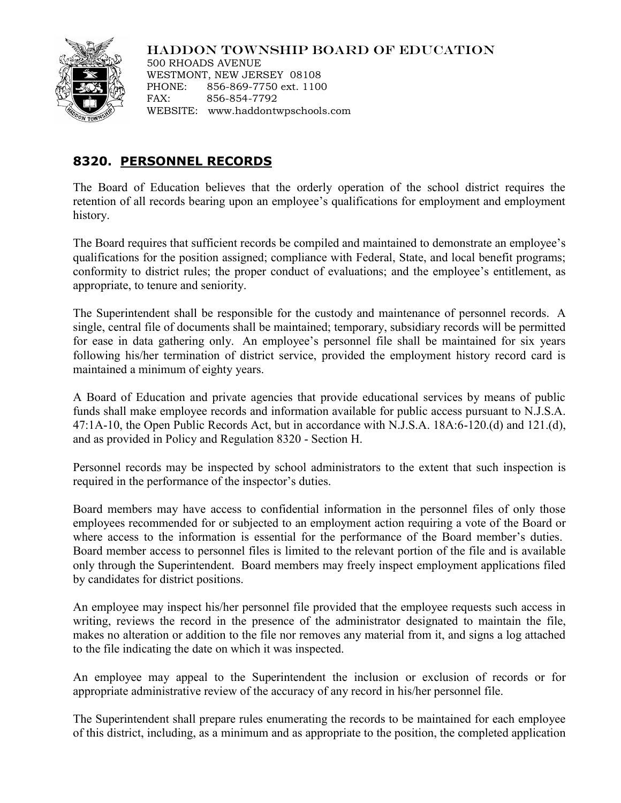## HADDON TOWNSHIP BOARD OF EDUCATION



500 RHOADS AVENUE WESTMONT, NEW JERSEY 08108 PHONE: 856-869-7750 ext. 1100 FAX: 856-854-7792 WEBSITE: www.haddontwpschools.com

## **8320. PERSONNEL RECORDS**

The Board of Education believes that the orderly operation of the school district requires the retention of all records bearing upon an employee's qualifications for employment and employment history.

The Board requires that sufficient records be compiled and maintained to demonstrate an employee's qualifications for the position assigned; compliance with Federal, State, and local benefit programs; conformity to district rules; the proper conduct of evaluations; and the employee's entitlement, as appropriate, to tenure and seniority.

The Superintendent shall be responsible for the custody and maintenance of personnel records. A single, central file of documents shall be maintained; temporary, subsidiary records will be permitted for ease in data gathering only. An employee's personnel file shall be maintained for six years following his/her termination of district service, provided the employment history record card is maintained a minimum of eighty years.

A Board of Education and private agencies that provide educational services by means of public funds shall make employee records and information available for public access pursuant to N.J.S.A. 47:1A-10, the Open Public Records Act, but in accordance with N.J.S.A. 18A:6-120.(d) and 121.(d), and as provided in Policy and Regulation 8320 - Section H.

Personnel records may be inspected by school administrators to the extent that such inspection is required in the performance of the inspector's duties.

Board members may have access to confidential information in the personnel files of only those employees recommended for or subjected to an employment action requiring a vote of the Board or where access to the information is essential for the performance of the Board member's duties. Board member access to personnel files is limited to the relevant portion of the file and is available only through the Superintendent. Board members may freely inspect employment applications filed by candidates for district positions.

An employee may inspect his/her personnel file provided that the employee requests such access in writing, reviews the record in the presence of the administrator designated to maintain the file, makes no alteration or addition to the file nor removes any material from it, and signs a log attached to the file indicating the date on which it was inspected.

An employee may appeal to the Superintendent the inclusion or exclusion of records or for appropriate administrative review of the accuracy of any record in his/her personnel file.

The Superintendent shall prepare rules enumerating the records to be maintained for each employee of this district, including, as a minimum and as appropriate to the position, the completed application